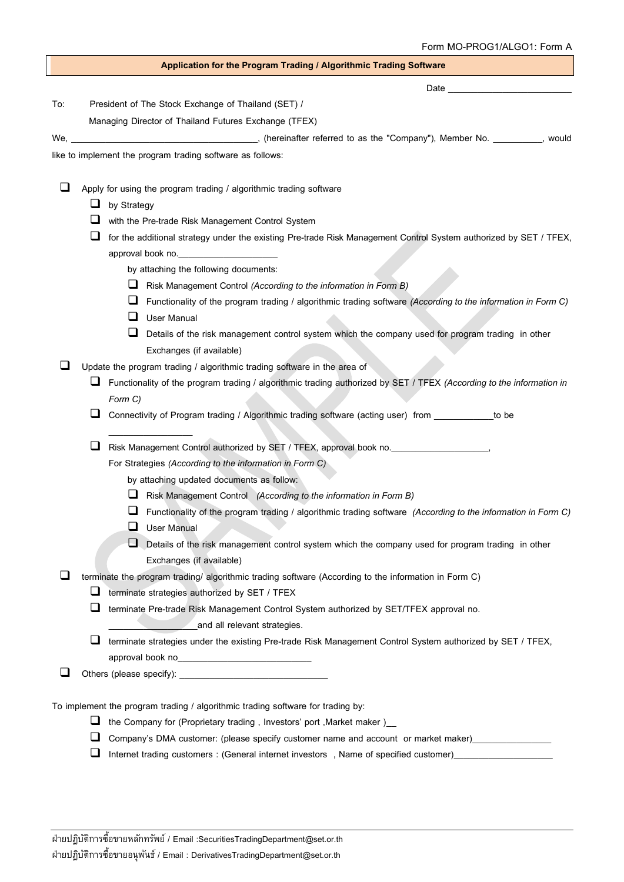|     |   | Application for the Program Trading / Algorithmic Trading Software                                                   |
|-----|---|----------------------------------------------------------------------------------------------------------------------|
|     |   | Date <u>experience</u>                                                                                               |
| To: |   | President of The Stock Exchange of Thailand (SET) /                                                                  |
|     |   | Managing Director of Thailand Futures Exchange (TFEX)                                                                |
|     |   |                                                                                                                      |
|     |   | like to implement the program trading software as follows:                                                           |
|     |   |                                                                                                                      |
|     |   | Apply for using the program trading / algorithmic trading software                                                   |
|     | ⊔ | by Strategy                                                                                                          |
|     |   | with the Pre-trade Risk Management Control System                                                                    |
|     | ⊔ | for the additional strategy under the existing Pre-trade Risk Management Control System authorized by SET / TFEX,    |
|     |   | approval book no.                                                                                                    |
|     |   | by attaching the following documents:                                                                                |
|     |   | ⊔<br>Risk Management Control (According to the information in Form B)                                                |
|     |   | Functionality of the program trading / algorithmic trading software (According to the information in Form C)<br>⊔    |
|     |   | <b>User Manual</b><br>⊔                                                                                              |
|     |   | Details of the risk management control system which the company used for program trading in other<br>ப               |
|     |   | Exchanges (if available)                                                                                             |
|     |   | Update the program trading / algorithmic trading software in the area of                                             |
|     | ⊔ | Functionality of the program trading / algorithmic trading authorized by SET / TFEX (According to the information in |
|     |   | Form C)<br>Connectivity of Program trading / Algorithmic trading software (acting user) from ________<br>to be       |
|     |   |                                                                                                                      |
|     | ⊔ | Risk Management Control authorized by SET / TFEX, approval book no. [14] [14] North Control authority of the M       |
|     |   | For Strategies (According to the information in Form C)                                                              |
|     |   | by attaching updated documents as follow:                                                                            |
|     |   | Risk Management Control (According to the information in Form B)                                                     |
|     |   | Functionality of the program trading / algorithmic trading software (According to the information in Form C)<br>⊔    |
|     |   | ⊔<br><b>User Manual</b>                                                                                              |
|     |   | Details of the risk management control system which the company used for program trading in other                    |
|     |   | Exchanges (if available)                                                                                             |
| ⊔   |   | terminate the program trading/ algorithmic trading software (According to the information in Form C)                 |
|     | ⊔ | terminate strategies authorized by SET / TFEX                                                                        |
|     | ⊔ | terminate Pre-trade Risk Management Control System authorized by SET/TFEX approval no.                               |
|     |   | and all relevant strategies.                                                                                         |
|     | ⊔ | terminate strategies under the existing Pre-trade Risk Management Control System authorized by SET / TFEX,           |
|     |   | approval book no<br>approval book no                                                                                 |
|     |   |                                                                                                                      |
|     |   |                                                                                                                      |
|     | ⊔ | To implement the program trading / algorithmic trading software for trading by:                                      |
|     |   | the Company for (Proprietary trading, Investors' port, Market maker)                                                 |
|     |   | Company's DMA customer: (please specify customer name and account or market maker)                                   |

❑ Internet trading customers : (General internet investors , Name of specified customer)\_\_\_\_\_\_\_\_\_\_\_\_\_\_\_\_\_\_\_\_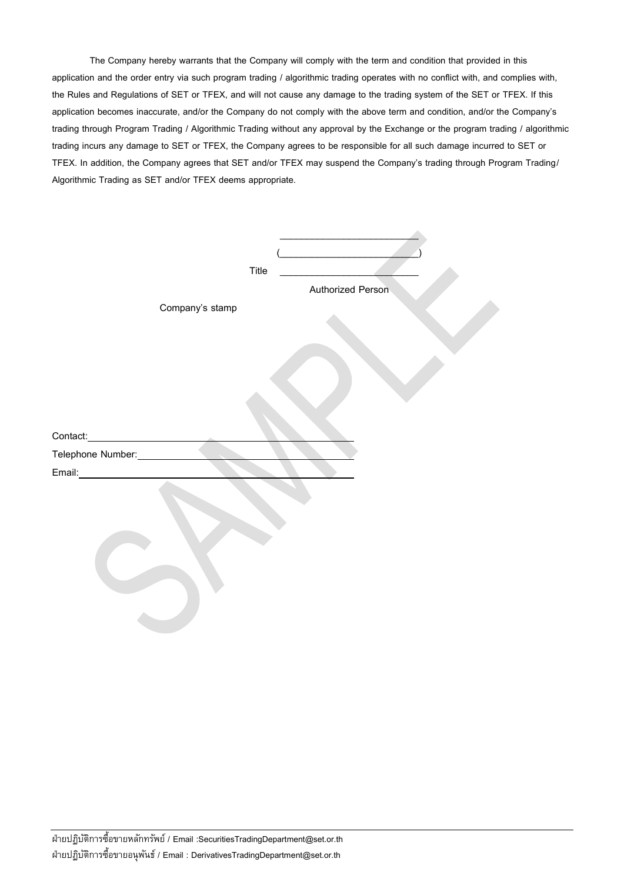The Company hereby warrants that the Company will comply with the term and condition that provided in this application and the order entry via such program trading / algorithmic trading operates with no conflict with, and complies with, the Rules and Regulations of SET or TFEX, and will not cause any damage to the trading system of the SET or TFEX. If this application becomes inaccurate, and/or the Company do not comply with the above term and condition, and/or the Company's trading through Program Trading / Algorithmic Trading without any approval by the Exchange or the program trading / algorithmic trading incurs any damage to SET or TFEX, the Company agrees to be responsible for all such damage incurred to SET or TFEX. In addition, the Company agrees that SET and/or TFEX may suspend the Company's trading through Program Trading/ Algorithmic Trading as SET and/or TFEX deems appropriate.

|                                               | Title |                   |
|-----------------------------------------------|-------|-------------------|
|                                               |       | Authorized Person |
| Company's stamp                               |       |                   |
|                                               |       |                   |
|                                               |       |                   |
|                                               |       |                   |
|                                               |       |                   |
|                                               |       |                   |
| Contact:<br><u>and the state of the state</u> |       |                   |
| Telephone Number:                             |       |                   |
| Email:                                        |       |                   |
|                                               |       |                   |
|                                               |       |                   |
|                                               |       |                   |
|                                               |       |                   |
|                                               |       |                   |
|                                               |       |                   |
|                                               |       |                   |
|                                               |       |                   |
|                                               |       |                   |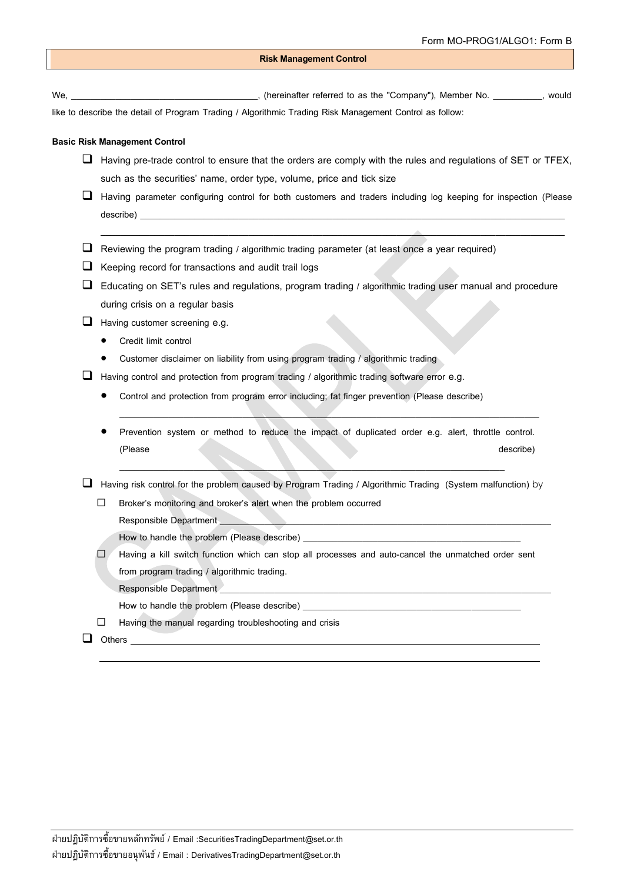## **Risk Management Control**

We, the company"), Member No. The settlement of the settlement of the term of the "Company"), Member No. The settlement of the settlement of the settlement of the settlement of the settlement of the settlement of the settl

like to describe the detail of Program Trading / Algorithmic Trading Risk Management Control as follow:

## **Basic Risk Management Control**

- ❑ Having pre-trade control to ensure that the orders are comply with the rules and regulations of SET or TFEX, such as the securities' name, order type, volume, price and tick size
- ❑ Having parameter configuring control for both customers and traders including log keeping for inspection (Please describe) \_\_\_\_\_\_\_\_\_\_\_\_\_\_\_\_\_\_\_\_\_\_\_\_\_\_\_\_\_\_\_\_\_\_\_\_\_\_\_\_\_\_\_\_\_\_\_\_\_\_\_\_\_\_\_\_\_\_\_\_\_\_\_\_\_\_\_\_\_\_\_\_\_\_\_\_\_\_\_\_\_\_\_\_\_\_

\_\_\_\_\_\_\_\_\_\_\_\_\_\_\_\_\_\_\_\_\_\_\_\_\_\_\_\_\_\_\_\_\_\_\_\_\_\_\_\_\_\_\_\_\_\_\_\_\_\_\_\_\_\_\_\_\_\_\_\_\_\_\_\_\_\_\_\_\_\_\_\_\_\_\_\_\_\_\_\_\_\_\_\_\_\_\_\_\_\_\_\_\_\_

- $\Box$  Reviewing the program trading / algorithmic trading parameter (at least once a year required)
- ❑ Keeping record for transactions and audit trail logs
- ❑ Educating on SET's rules and regulations, program trading / algorithmic trading user manual and procedure during crisis on a regular basis

□ Having customer screening e.g.

- Credit limit control
- Customer disclaimer on liability from using program trading / algorithmic trading
- ❑ Having control and protection from program trading / algorithmic trading software error e.g.
	- Control and protection from program error including; fat finger prevention (Please describe)
	- Prevention system or method to reduce the impact of duplicated order e.g. alert, throttle control. (Please describe)

 $\mathcal{L} = \{ \mathcal{L} \mid \mathcal{L} \in \mathcal{L} \}$  , where  $\mathcal{L} = \{ \mathcal{L} \mid \mathcal{L} \in \mathcal{L} \}$  , where  $\mathcal{L} = \{ \mathcal{L} \mid \mathcal{L} \in \mathcal{L} \}$ 

\_\_\_\_\_\_\_\_\_\_\_\_\_\_\_\_\_\_\_\_\_\_\_\_\_\_\_\_\_\_\_\_\_\_\_\_\_\_\_\_\_\_\_\_\_\_\_\_\_\_\_\_\_\_\_\_\_\_\_\_\_\_\_\_\_\_\_\_\_\_\_\_\_\_\_\_\_\_ ❑ Having risk control for the problem caused by Program Trading / Algorithmic Trading (System malfunction) by

□ Broker's monitoring and broker's alert when the problem occurred

Responsible Department

How to handle the problem (Please describe)

Having a kill switch function which can stop all processes and auto-cancel the unmatched order sent from program trading / algorithmic trading.

Responsible Department

How to handle the problem (Please describe)

 $\Box$  Having the manual regarding troubleshooting and crisis

## ❑ Others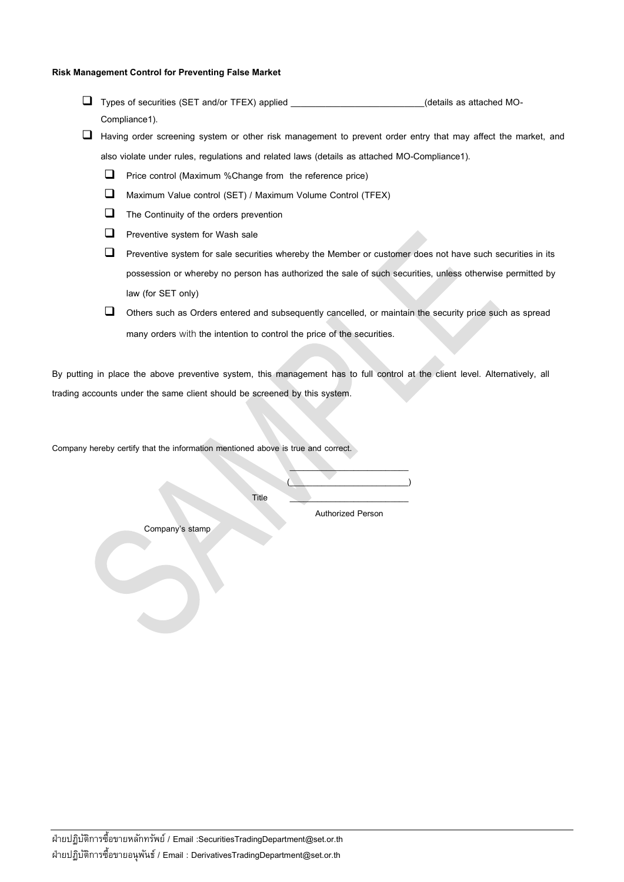## **Risk Management Control for Preventing False Market**

- ❑ Types of securities (SET and/or TFEX) applied \_\_\_\_\_\_\_\_\_\_\_\_\_\_\_\_\_\_\_\_\_\_\_\_\_\_\_(details as attached MO-Compliance1).
- ❑ Having order screening system or other risk management to prevent order entry that may affect the market, and also violate under rules, regulations and related laws (details as attached MO-Compliance1).
	- ❑ Price control (Maximum %Change from the reference price)
	- ❑ Maximum Value control (SET) / Maximum Volume Control (TFEX)
	- ❑ The Continuity of the orders prevention
	- ❑ Preventive system for Wash sale
	- ❑ Preventive system for sale securities whereby the Member or customer does not have such securities in its possession or whereby no person has authorized the sale of such securities, unless otherwise permitted by law (for SET only)
	- ❑ Others such as Orders entered and subsequently cancelled, or maintain the security price such as spread many orders with the intention to control the price of the securities.

By putting in place the above preventive system, this management has to full control at the client level. Alternatively, all trading accounts under the same client should be screened by this system.

Company hereby certify that the information mentioned above is true and correct.

Title \_\_\_\_\_\_\_\_\_\_\_\_\_\_\_\_\_\_\_\_\_\_\_\_\_\_

Authorized Person

 $\overline{\phantom{a}}$  , where  $\overline{\phantom{a}}$  $\overline{\phantom{a}}$ 

Company's stamp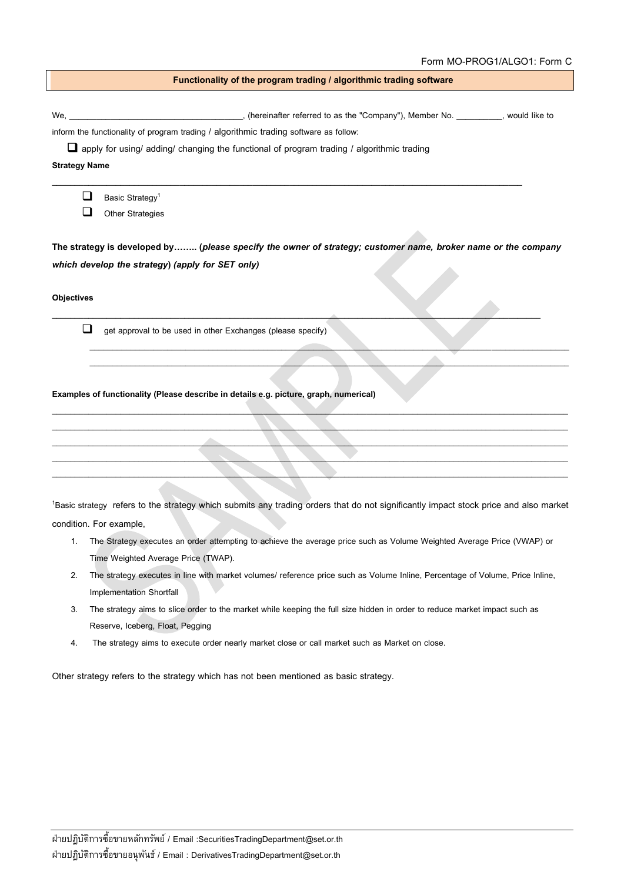| Functionality of the program trading / algorithmic trading software |                                                                                                                                                  |  |
|---------------------------------------------------------------------|--------------------------------------------------------------------------------------------------------------------------------------------------|--|
|                                                                     |                                                                                                                                                  |  |
|                                                                     |                                                                                                                                                  |  |
|                                                                     | inform the functionality of program trading / algorithmic trading software as follow:                                                            |  |
|                                                                     | apply for using/ adding/ changing the functional of program trading / algorithmic trading                                                        |  |
| <b>Strategy Name</b>                                                |                                                                                                                                                  |  |
| $\sqcup$                                                            | Basic Strategy <sup>1</sup>                                                                                                                      |  |
|                                                                     | Other Strategies                                                                                                                                 |  |
|                                                                     |                                                                                                                                                  |  |
|                                                                     | The strategy is developed by (please specify the owner of strategy; customer name, broker name or the company                                    |  |
|                                                                     | which develop the strategy) (apply for SET only)                                                                                                 |  |
|                                                                     |                                                                                                                                                  |  |
| <b>Objectives</b>                                                   |                                                                                                                                                  |  |
|                                                                     |                                                                                                                                                  |  |
| ⊔                                                                   | get approval to be used in other Exchanges (please specify)                                                                                      |  |
|                                                                     |                                                                                                                                                  |  |
|                                                                     |                                                                                                                                                  |  |
|                                                                     |                                                                                                                                                  |  |
|                                                                     | Examples of functionality (Please describe in details e.g. picture, graph, numerical)                                                            |  |
|                                                                     |                                                                                                                                                  |  |
|                                                                     |                                                                                                                                                  |  |
|                                                                     |                                                                                                                                                  |  |
|                                                                     |                                                                                                                                                  |  |
|                                                                     |                                                                                                                                                  |  |
|                                                                     |                                                                                                                                                  |  |
|                                                                     | <sup>1</sup> Basic strategy refers to the strategy which submits any trading orders that do not significantly impact stock price and also market |  |
|                                                                     | condition. For example,                                                                                                                          |  |
|                                                                     | The Strategy executes an order attempting to achieve the average price such as Volume Weighted Average Price (VWAP) or                           |  |
|                                                                     | Time Weighted Average Price (TWAP).                                                                                                              |  |
| 2.                                                                  | The strategy executes in line with market volumes/ reference price such as Volume Inline, Percentage of Volume, Price Inline,                    |  |
|                                                                     | Implementation Shortfall                                                                                                                         |  |
| 3.                                                                  | The strategy aims to slice order to the market while keeping the full size hidden in order to reduce market impact such as                       |  |
|                                                                     | Reserve, Iceberg, Float, Pegging                                                                                                                 |  |
| 4.                                                                  | The strategy aims to execute order nearly market close or call market such as Market on close.                                                   |  |
|                                                                     |                                                                                                                                                  |  |

Other strategy refers to the strategy which has not been mentioned as basic strategy.

 $\overline{\phantom{a}}$